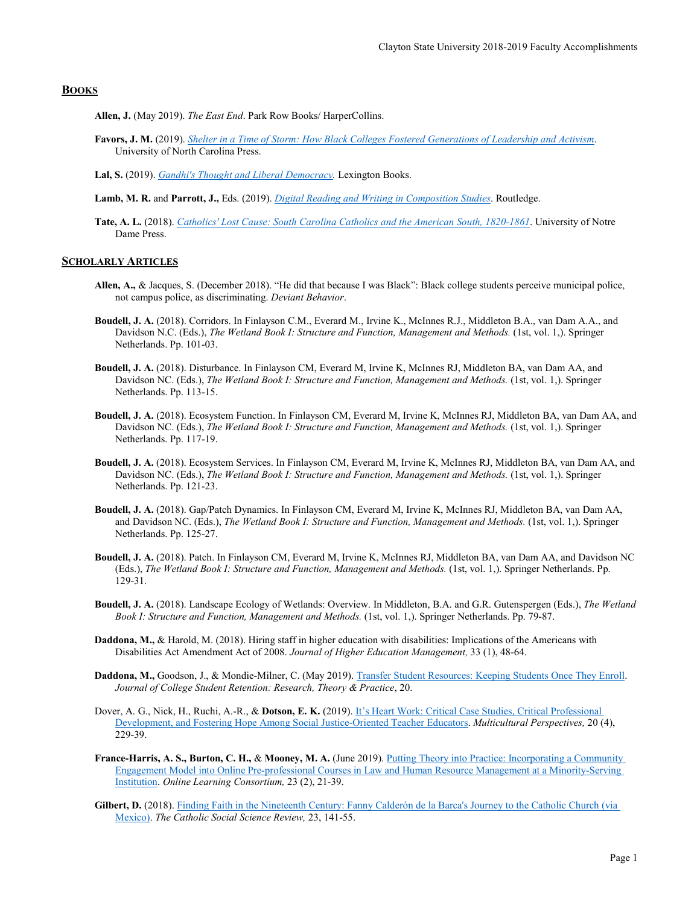# **BOOKS**

**Allen, J.** (May 2019). *The East End*. Park Row Books/ HarperCollins.

**Favors, J. M.** (2019). *[Shelter in a Time of Storm: How Black Colleges Fostered Generations of Leadership and Activism](https://www.uncpress.org/book/9781469648330/shelter-in-a-time-of-storm/)*. University of North Carolina Press.

**Lal, S.** (2019). *[Gandhi's Thought and Liberal Democracy.](https://rowman.com/ISBN/9781498586528/Gandhi%27s-Thought-and-Liberal-Democracy)* Lexington Books.

- **Lamb, M. R.** and **Parrott, J.,** Eds. (2019). *[Digital Reading and Writing in Composition Studies](https://www.routledge.com/Digital-Reading-and-Writing-in-Composition-Studies/Lamb-Parrott/p/book/9781138484108)*. Routledge.
- **Tate, A. L.** (2018). *[Catholics' Lost Cause: South Carolina Catholics and the American South, 1820-1861](https://www.amazon.com/Catholics-Lost-Cause-Carolina-1820-1861/dp/0268104174/ref=tmm_hrd_swatch_0?_encoding=UTF8&qid=&sr=)*. University of Notre Dame Press.

# **SCHOLARLY ARTICLES**

- **Allen, A.,** & Jacques, S. (December 2018). "He did that because I was Black": Black college students perceive municipal police, not campus police, as discriminating. *Deviant Behavior*.
- **Boudell, J. A.** (2018). Corridors. In Finlayson C.M., Everard M., Irvine K., McInnes R.J., Middleton B.A., van Dam A.A., and Davidson N.C. (Eds.), *The Wetland Book I: Structure and Function, Management and Methods.* (1st, vol. 1,). Springer Netherlands. Pp. 101-03.
- **Boudell, J. A.** (2018). Disturbance. In Finlayson CM, Everard M, Irvine K, McInnes RJ, Middleton BA, van Dam AA, and Davidson NC. (Eds.), *The Wetland Book I: Structure and Function, Management and Methods.* (1st, vol. 1,). Springer Netherlands. Pp. 113-15.
- **Boudell, J. A.** (2018). Ecosystem Function. In Finlayson CM, Everard M, Irvine K, McInnes RJ, Middleton BA, van Dam AA, and Davidson NC. (Eds.), *The Wetland Book I: Structure and Function, Management and Methods.* (1st, vol. 1,). Springer Netherlands. Pp. 117-19.
- **Boudell, J. A.** (2018). Ecosystem Services. In Finlayson CM, Everard M, Irvine K, McInnes RJ, Middleton BA, van Dam AA, and Davidson NC. (Eds.), *The Wetland Book I: Structure and Function, Management and Methods.* (1st, vol. 1,). Springer Netherlands. Pp. 121-23.
- **Boudell, J. A.** (2018). Gap/Patch Dynamics. In Finlayson CM, Everard M, Irvine K, McInnes RJ, Middleton BA, van Dam AA, and Davidson NC. (Eds.), *The Wetland Book I: Structure and Function, Management and Methods.* (1st, vol. 1,). Springer Netherlands. Pp. 125-27.
- **Boudell, J. A.** (2018). Patch. In Finlayson CM, Everard M, Irvine K, McInnes RJ, Middleton BA, van Dam AA, and Davidson NC (Eds.), *The Wetland Book I: Structure and Function, Management and Methods.* (1st, vol. 1,). Springer Netherlands. Pp. 129-31.
- **Boudell, J. A.** (2018). Landscape Ecology of Wetlands: Overview. In Middleton, B.A. and G.R. Gutenspergen (Eds.), *The Wetland Book I: Structure and Function, Management and Methods.* (1st, vol. 1,). Springer Netherlands. Pp. 79-87.
- **Daddona, M.,** & Harold, M. (2018). Hiring staff in higher education with disabilities: Implications of the Americans with Disabilities Act Amendment Act of 2008. *Journal of Higher Education Management,* 33 (1), 48-64.
- **Daddona, M.,** Goodson, J., & Mondie-Milner, C. (May 2019). [Transfer Student Resources: Keeping Students Once They Enroll.](https://journals.sagepub.com/doi/pdf/10.1177/1521025119848754)  *Journal of College Student Retention: Research, Theory & Practice*, 20.
- Dover, A. G., Nick, H., Ruchi, A.-R., & **Dotson, E. K.** (2019). [It's Heart Work: Critical Case Studies, Critical Professional](https://eric.ed.gov/?id=EJ1207366)  [Development, and Fostering Hope Among Social](https://eric.ed.gov/?id=EJ1207366) Justice-Oriented Teacher Educators. *Multicultural Perspectives,* 20 (4), 229-39.
- **France-Harris, A. S., Burton, C. H.,** & **Mooney, M. A.** (June 2019)[. Putting Theory into Practice: Incorporating a Community](https://www.google.com/url?sa=t&rct=j&q=&esrc=s&source=web&cd=3&ved=2ahUKEwibt_XA9LbjAhVeAp0JHfIuD44QFjACegQICBAC&url=https%3A%2F%2Folj.onlinelearningconsortium.org%2Findex.php%2Folj%2Farticle%2Fdownload%2F1448%2F816&usg=AOvVaw1Dm0U_xziyG4-Z2DN-J-2l)  [Engagement Model into Online Pre-professional Courses in Law and Human Resource Management at a Minority-Serving](https://www.google.com/url?sa=t&rct=j&q=&esrc=s&source=web&cd=3&ved=2ahUKEwibt_XA9LbjAhVeAp0JHfIuD44QFjACegQICBAC&url=https%3A%2F%2Folj.onlinelearningconsortium.org%2Findex.php%2Folj%2Farticle%2Fdownload%2F1448%2F816&usg=AOvVaw1Dm0U_xziyG4-Z2DN-J-2l)  [Institution.](https://www.google.com/url?sa=t&rct=j&q=&esrc=s&source=web&cd=3&ved=2ahUKEwibt_XA9LbjAhVeAp0JHfIuD44QFjACegQICBAC&url=https%3A%2F%2Folj.onlinelearningconsortium.org%2Findex.php%2Folj%2Farticle%2Fdownload%2F1448%2F816&usg=AOvVaw1Dm0U_xziyG4-Z2DN-J-2l) *Online Learning Consortium,* 23 (2), 21-39.
- Gilbert, D. (2018). Finding Faith in the Nineteenth Century: Fanny Calderón de la Barca's Journey to the Catholic Church (via [Mexico\).](https://www.pdcnet.org/cssr/content/cssr_2018_0023_0141_0155) *The Catholic Social Science Review,* 23, 141-55.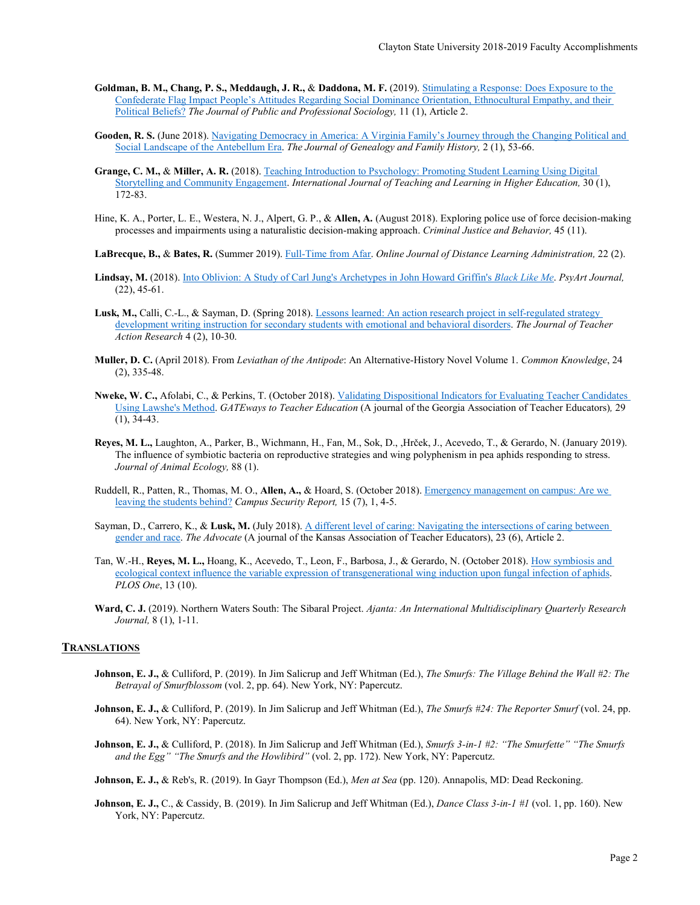- **Goldman, B. M., Chang, P. S., Meddaugh, J. R.,** & **Daddona, M. F.** (2019)[. Stimulating a Response: Does Exposure to the](https://digitalcommons.kennesaw.edu/jpps/vol11/iss1/2/)  [Confederate Flag Impact People's Attitudes Regarding Social Dominance Orientation, Ethnocultural Empathy, and their](https://digitalcommons.kennesaw.edu/jpps/vol11/iss1/2/)  [Political Beliefs?](https://digitalcommons.kennesaw.edu/jpps/vol11/iss1/2/) *The Journal of Public and Professional Sociology,* 11 (1), Article 2.
- **Gooden, R. S.** (June 2018). [Navigating Democracy in America: A Virginia Family's Journey through the Changing Political and](https://www.qualifiedgenealogists.org/ojs/index.php/JGFH/article/view/53/30)  [Social Landscape of the Antebellum Era.](https://www.qualifiedgenealogists.org/ojs/index.php/JGFH/article/view/53/30) *The Journal of Genealogy and Family History,* 2 (1), 53-66.
- **Grange, C. M.,** & **Miller, A. R.** (2018). [Teaching Introduction to Psychology: Promoting Student Learning Using Digital](https://www.google.com/url?sa=t&rct=j&q=&esrc=s&source=web&cd=1&ved=2ahUKEwjBmtWsxYLjAhXpY98KHUXsDXAQFjAAegQIBRAC&url=https%3A%2F%2Ffiles.eric.ed.gov%2Ffulltext%2FEJ1169820.pdf&usg=AOvVaw1st70pDrOfJR032zqqvMa5)  Storytelling and [Community Engagement.](https://www.google.com/url?sa=t&rct=j&q=&esrc=s&source=web&cd=1&ved=2ahUKEwjBmtWsxYLjAhXpY98KHUXsDXAQFjAAegQIBRAC&url=https%3A%2F%2Ffiles.eric.ed.gov%2Ffulltext%2FEJ1169820.pdf&usg=AOvVaw1st70pDrOfJR032zqqvMa5) *International Journal of Teaching and Learning in Higher Education,* 30 (1), 172-83.
- Hine, K. A., Porter, L. E., Westera, N. J., Alpert, G. P., & **Allen, A.** (August 2018). Exploring police use of force decision-making processes and impairments using a naturalistic decision-making approach. *Criminal Justice and Behavior,* 45 (11).
- **LaBrecque, B.,** & **Bates, R.** (Summer 2019)[. Full-Time from Afar.](https://www.westga.edu/%7Edistance/ojdla/summer222/bates_labrecque222.html) *Online Journal of Distance Learning Administration,* 22 (2).
- **Lindsay, M.** (2018). [Into Oblivion: A Study of Carl Jung's Archetypes in John Howard Griffin's](https://www.google.com/url?sa=t&rct=j&q=&esrc=s&source=web&cd=1&ved=2ahUKEwjHmamlyILjAhWpc98KHTa9C1MQFjAAegQIARAC&url=http%3A%2F%2Fjournal.psyart.org%2Fwp-content%2Fuploads%2F2018%2F08%2FPsyArt-2018-Article-4.1-Lindsay.pdf&usg=AOvVaw1Kr9r0iQhmHIro2rrp13IK) *Black Like Me*. *PsyArt Journal,*  (22), 45-61.
- **Lusk, M.,** Calli, C.-L., & Sayman, D. (Spring 2018). [Lessons learned: An action research project in self-regulated strategy](http://www.practicalteacherresearch.com/uploads/5/6/2/4/56249715/lessons_learned__secondary_students_with_ebd.pdf)  [development writing instruction for secondary students with emotional and behavioral disorders.](http://www.practicalteacherresearch.com/uploads/5/6/2/4/56249715/lessons_learned__secondary_students_with_ebd.pdf) *The Journal of Teacher Action Research* 4 (2), 10-30.
- **Muller, D. C.** (April 2018). From *Leviathan of the Antipode*: An Alternative-History Novel Volume 1. *Common Knowledge*, 24 (2), 335-48.
- **Nweke, W. C.,** Afolabi, C., & Perkins, T. (October 2018)[. Validating Dispositional Indicators for Evaluating Teacher Candidates](https://issuu.com/gaate/docs/gateways_2018__volume_29__issue_1_)  [Using Lawshe's Method.](https://issuu.com/gaate/docs/gateways_2018__volume_29__issue_1_) *GATEways to Teacher Education* (A journal of the Georgia Association of Teacher Educators)*,* 29 (1), 34-43.
- **Reyes, M. L.,** Laughton, A., Parker, B., Wichmann, H., Fan, M., Sok, D., ,Hrček, J., Acevedo, T., & Gerardo, N. (January 2019). The influence of symbiotic bacteria on reproductive strategies and wing polyphenism in pea aphids responding to stress. *Journal of Animal Ecology,* 88 (1).
- Ruddell, R., Patten, R., Thomas, M. O., **Allen, A.,** & Hoard, S. (October 2018)[. Emergency management on campus: Are we](https://onlinelibrary.wiley.com/doi/abs/10.1002/casr.30437)  [leaving the students behind?](https://onlinelibrary.wiley.com/doi/abs/10.1002/casr.30437) *Campus Security Report,* 15 (7), 1, 4-5.
- Sayman, D., Carrero, K., & **Lusk, M.** (July 2018). [A different level of caring: Navigating the intersections of caring between](https://www.google.com/url?sa=t&rct=j&q=&esrc=s&source=web&cd=1&ved=2ahUKEwifv_jZzoLjAhVlU98KHQiXDDcQFjAAegQIABAC&url=https%3A%2F%2Fnewprairiepress.org%2Fcgi%2Fviewcontent.cgi%3Farticle%3D1001%26context%3Dadvocate&usg=AOvVaw3BHEuX4MLgOsVwakusu0aY)  [gender and race.](https://www.google.com/url?sa=t&rct=j&q=&esrc=s&source=web&cd=1&ved=2ahUKEwifv_jZzoLjAhVlU98KHQiXDDcQFjAAegQIABAC&url=https%3A%2F%2Fnewprairiepress.org%2Fcgi%2Fviewcontent.cgi%3Farticle%3D1001%26context%3Dadvocate&usg=AOvVaw3BHEuX4MLgOsVwakusu0aY) *The Advocate* (A journal of the Kansas Association of Teacher Educators), 23 (6), Article 2.
- Tan, W.-H., **Reyes, M. L.,** Hoang, K., Acevedo, T., Leon, F., Barbosa, J., & Gerardo, N. (October 2018)[. How symbiosis and](https://journals.plos.org/plosone/article?id=10.1371/journal.pone.0201865)  [ecological context influence the variable expression of transgenerational wing induction upon fungal infection of aphids.](https://journals.plos.org/plosone/article?id=10.1371/journal.pone.0201865) *PLOS One*, 13 (10).
- **Ward, C. J.** (2019). Northern Waters South: The Sibaral Project. *Ajanta: An International Multidisciplinary Quarterly Research Journal,* 8 (1), 1-11.

## **TRANSLATIONS**

- **Johnson, E. J.,** & Culliford, P. (2019). In Jim Salicrup and Jeff Whitman (Ed.), *The Smurfs: The Village Behind the Wall #2: The Betrayal of Smurfblossom* (vol. 2, pp. 64). New York, NY: Papercutz.
- **Johnson, E. J.,** & Culliford, P. (2019). In Jim Salicrup and Jeff Whitman (Ed.), *The Smurfs #24: The Reporter Smurf* (vol. 24, pp. 64). New York, NY: Papercutz.
- **Johnson, E. J.,** & Culliford, P. (2018). In Jim Salicrup and Jeff Whitman (Ed.), *Smurfs 3-in-1 #2: "The Smurfette" "The Smurfs and the Egg" "The Smurfs and the Howlibird"* (vol. 2, pp. 172). New York, NY: Papercutz.

**Johnson, E. J.,** & Reb's, R. (2019). In Gayr Thompson (Ed.), *Men at Sea* (pp. 120). Annapolis, MD: Dead Reckoning.

**Johnson, E. J.,** C., & Cassidy, B. (2019). In Jim Salicrup and Jeff Whitman (Ed.), *Dance Class 3-in-1 #1* (vol. 1, pp. 160). New York, NY: Papercutz.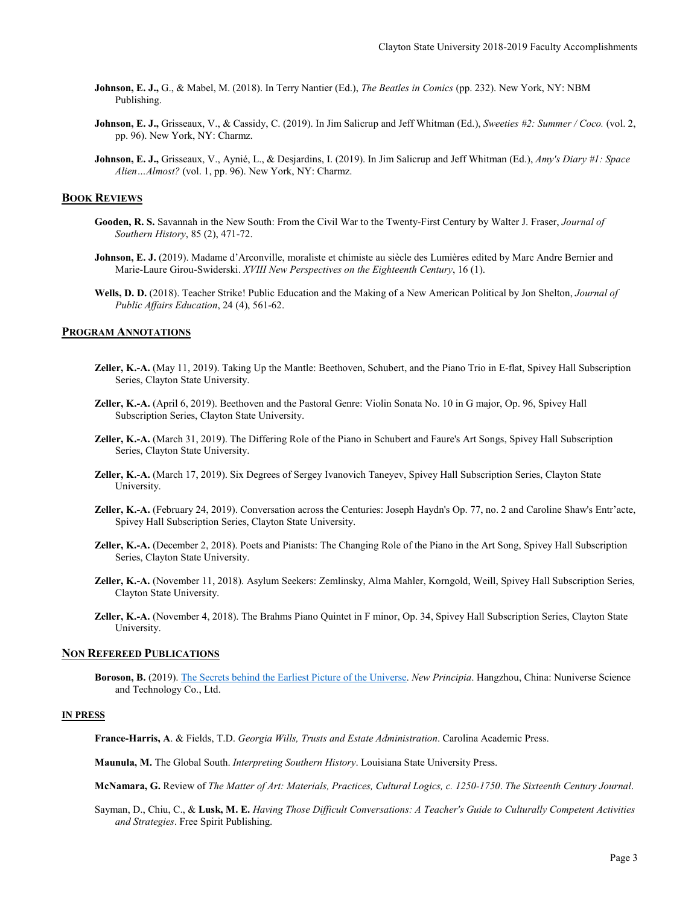- **Johnson, E. J.,** G., & Mabel, M. (2018). In Terry Nantier (Ed.), *The Beatles in Comics* (pp. 232). New York, NY: NBM Publishing.
- **Johnson, E. J.,** Grisseaux, V., & Cassidy, C. (2019). In Jim Salicrup and Jeff Whitman (Ed.), *Sweeties #2: Summer / Coco.* (vol. 2, pp. 96). New York, NY: Charmz.
- **Johnson, E. J.,** Grisseaux, V., Aynié, L., & Desjardins, I. (2019). In Jim Salicrup and Jeff Whitman (Ed.), *Amy's Diary #1: Space Alien…Almost?* (vol. 1, pp. 96). New York, NY: Charmz.

#### **BOOK REVIEWS**

- **Gooden, R. S.** Savannah in the New South: From the Civil War to the Twenty-First Century by Walter J. Fraser, *Journal of Southern History*, 85 (2), 471-72.
- **Johnson, E. J.** (2019). Madame d'Arconville, moraliste et chimiste au siècle des Lumières edited by Marc Andre Bernier and Marie-Laure Girou-Swiderski. *XVIII New Perspectives on the Eighteenth Century*, 16 (1).
- **Wells, D. D.** (2018). Teacher Strike! Public Education and the Making of a New American Political by Jon Shelton, *Journal of Public Affairs Education*, 24 (4), 561-62.

## **PROGRAM ANNOTATIONS**

- **Zeller, K.-A.** (May 11, 2019). Taking Up the Mantle: Beethoven, Schubert, and the Piano Trio in E-flat, Spivey Hall Subscription Series, Clayton State University.
- **Zeller, K.-A.** (April 6, 2019). Beethoven and the Pastoral Genre: Violin Sonata No. 10 in G major, Op. 96, Spivey Hall Subscription Series, Clayton State University.
- **Zeller, K.-A.** (March 31, 2019). The Differing Role of the Piano in Schubert and Faure's Art Songs, Spivey Hall Subscription Series, Clayton State University.
- **Zeller, K.-A.** (March 17, 2019). Six Degrees of Sergey Ivanovich Taneyev, Spivey Hall Subscription Series, Clayton State University.
- **Zeller, K.-A.** (February 24, 2019). Conversation across the Centuries: Joseph Haydn's Op. 77, no. 2 and Caroline Shaw's Entr'acte, Spivey Hall Subscription Series, Clayton State University.
- **Zeller, K.-A.** (December 2, 2018). Poets and Pianists: The Changing Role of the Piano in the Art Song, Spivey Hall Subscription Series, Clayton State University.
- **Zeller, K.-A.** (November 11, 2018). Asylum Seekers: Zemlinsky, Alma Mahler, Korngold, Weill, Spivey Hall Subscription Series, Clayton State University.
- **Zeller, K.-A.** (November 4, 2018). The Brahms Piano Quintet in F minor, Op. 34, Spivey Hall Subscription Series, Clayton State University.

# **NON REFEREED PUBLICATIONS**

**Boroson, B.** (2019). The Secrets behind [the Earliest Picture of the Universe.](https://newprincipia.academy/portfolio/the-secrets-behind-the-earliest-picture-of-the-universe/) *New Principia*. Hangzhou, China: Nuniverse Science and Technology Co., Ltd.

## **IN PRESS**

**France-Harris, A**. & Fields, T.D. *Georgia Wills, Trusts and Estate Administration*. Carolina Academic Press.

**Maunula, M.** The Global South. *Interpreting Southern History*. Louisiana State University Press.

**McNamara, G.** Review of *The Matter of Art: Materials, Practices, Cultural Logics, c. 1250-1750*. *The Sixteenth Century Journal*.

Sayman, D., Chiu, C., & **Lusk, M. E.** *Having Those Difficult Conversations: A Teacher's Guide to Culturally Competent Activities and Strategies*. Free Spirit Publishing.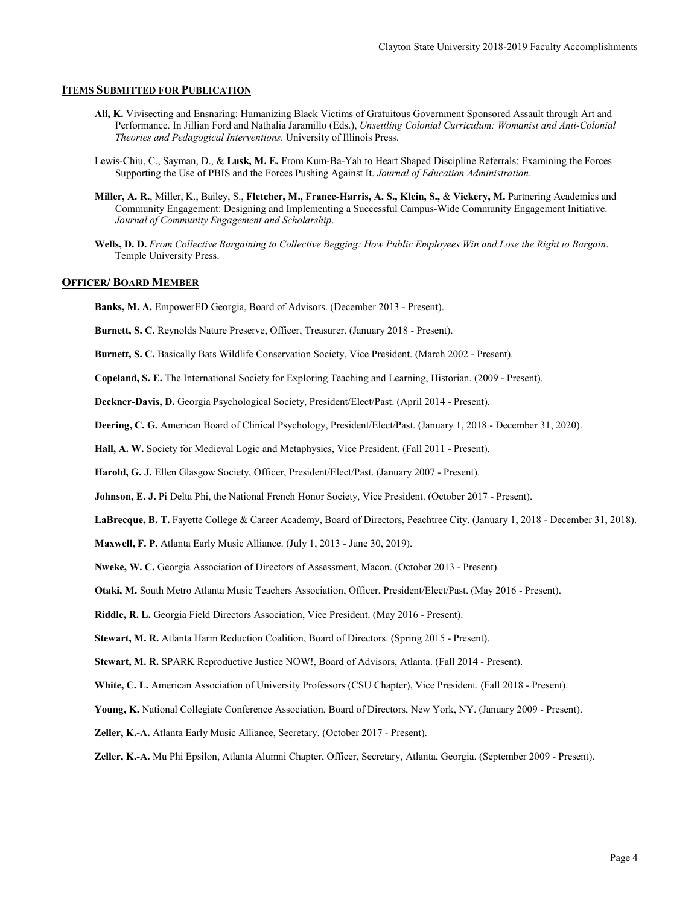# **ITEMS SUBMITTED FOR PUBLICATION**

- **Ali, K.** Vivisecting and Ensnaring: Humanizing Black Victims of Gratuitous Government Sponsored Assault through Art and Performance. In Jillian Ford and Nathalia Jaramillo (Eds.), *Unsettling Colonial Curriculum: Womanist and Anti-Colonial Theories and Pedagogical Interventions*. University of Illinois Press.
- Lewis-Chiu, C., Sayman, D., & **Lusk, M. E.** From Kum-Ba-Yah to Heart Shaped Discipline Referrals: Examining the Forces Supporting the Use of PBIS and the Forces Pushing Against It. *Journal of Education Administration*.
- **Miller, A. R.**, Miller, K., Bailey, S., **Fletcher, M., France-Harris, A. S., Klein, S.,** & **Vickery, M.** Partnering Academics and Community Engagement: Designing and Implementing a Successful Campus-Wide Community Engagement Initiative. *Journal of Community Engagement and Scholarship*.
- **Wells, D. D.** *From Collective Bargaining to Collective Begging: How Public Employees Win and Lose the Right to Bargain*. Temple University Press.

## **OFFICER/ BOARD MEMBER**

**Banks, M. A.** EmpowerED Georgia, Board of Advisors. (December 2013 - Present).

**Burnett, S. C.** Reynolds Nature Preserve, Officer, Treasurer. (January 2018 - Present).

**Burnett, S. C.** Basically Bats Wildlife Conservation Society, Vice President. (March 2002 - Present).

**Copeland, S. E.** The International Society for Exploring Teaching and Learning, Historian. (2009 - Present).

**Deckner-Davis, D.** Georgia Psychological Society, President/Elect/Past. (April 2014 - Present).

**Deering, C. G.** American Board of Clinical Psychology, President/Elect/Past. (January 1, 2018 - December 31, 2020).

**Hall, A. W.** Society for Medieval Logic and Metaphysics, Vice President. (Fall 2011 - Present).

**Harold, G. J.** Ellen Glasgow Society, Officer, President/Elect/Past. (January 2007 - Present).

Johnson, E. J. Pi Delta Phi, the National French Honor Society, Vice President. (October 2017 - Present).

**LaBrecque, B. T.** Fayette College & Career Academy, Board of Directors, Peachtree City. (January 1, 2018 - December 31, 2018).

**Maxwell, F. P.** Atlanta Early Music Alliance. (July 1, 2013 - June 30, 2019).

**Nweke, W. C.** Georgia Association of Directors of Assessment, Macon. (October 2013 - Present).

**Otaki, M.** South Metro Atlanta Music Teachers Association, Officer, President/Elect/Past. (May 2016 - Present).

**Riddle, R. L.** Georgia Field Directors Association, Vice President. (May 2016 - Present).

**Stewart, M. R.** Atlanta Harm Reduction Coalition, Board of Directors. (Spring 2015 - Present).

**Stewart, M. R.** SPARK Reproductive Justice NOW!, Board of Advisors, Atlanta. (Fall 2014 - Present).

**White, C. L.** American Association of University Professors (CSU Chapter), Vice President. (Fall 2018 - Present).

**Young, K.** National Collegiate Conference Association, Board of Directors, New York, NY. (January 2009 - Present).

**Zeller, K.-A.** Atlanta Early Music Alliance, Secretary. (October 2017 - Present).

**Zeller, K.-A.** Mu Phi Epsilon, Atlanta Alumni Chapter, Officer, Secretary, Atlanta, Georgia. (September 2009 - Present).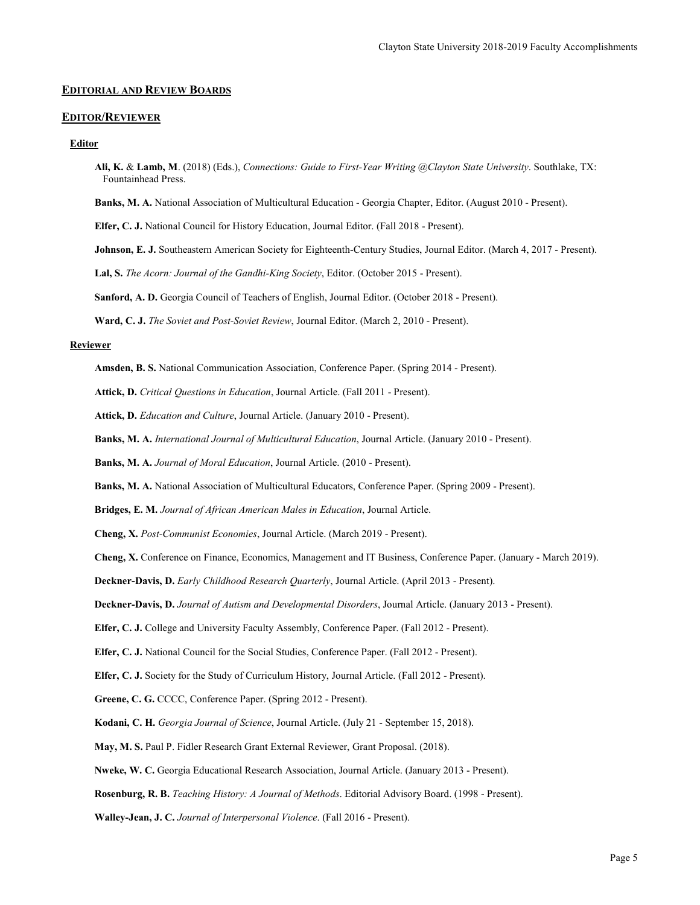## **EDITORIAL AND REVIEW BOARDS**

## **EDITOR/REVIEWER**

#### **Editor**

- **Ali, K.** & **Lamb, M**. (2018) (Eds.), *Connections: Guide to First-Year Writing @Clayton State University*. Southlake, TX: Fountainhead Press.
- **Banks, M. A.** National Association of Multicultural Education Georgia Chapter, Editor. (August 2010 Present).
- **Elfer, C. J.** National Council for History Education, Journal Editor. (Fall 2018 Present).
- **Johnson, E. J.** Southeastern American Society for Eighteenth-Century Studies, Journal Editor. (March 4, 2017 Present).
- **Lal, S.** *The Acorn: Journal of the Gandhi-King Society*, Editor. (October 2015 Present).

**Sanford, A. D.** Georgia Council of Teachers of English, Journal Editor. (October 2018 - Present).

**Ward, C. J.** *The Soviet and Post-Soviet Review*, Journal Editor. (March 2, 2010 - Present).

# **Reviewer**

**Amsden, B. S.** National Communication Association, Conference Paper. (Spring 2014 - Present).

**Attick, D.** *Critical Questions in Education*, Journal Article. (Fall 2011 - Present).

**Attick, D.** *Education and Culture*, Journal Article. (January 2010 - Present).

- **Banks, M. A.** *International Journal of Multicultural Education*, Journal Article. (January 2010 Present).
- **Banks, M. A.** *Journal of Moral Education*, Journal Article. (2010 Present).
- **Banks, M. A.** National Association of Multicultural Educators, Conference Paper. (Spring 2009 Present).
- **Bridges, E. M.** *Journal of African American Males in Education*, Journal Article.
- **Cheng, X.** *Post-Communist Economies*, Journal Article. (March 2019 Present).
- **Cheng, X.** Conference on Finance, Economics, Management and IT Business, Conference Paper. (January March 2019).

**Deckner-Davis, D.** *Early Childhood Research Quarterly*, Journal Article. (April 2013 - Present).

**Deckner-Davis, D.** *Journal of Autism and Developmental Disorders*, Journal Article. (January 2013 - Present).

**Elfer, C. J.** College and University Faculty Assembly, Conference Paper. (Fall 2012 - Present).

**Elfer, C. J.** National Council for the Social Studies, Conference Paper. (Fall 2012 - Present).

**Elfer, C. J.** Society for the Study of Curriculum History, Journal Article. (Fall 2012 - Present).

**Greene, C. G.** CCCC, Conference Paper. (Spring 2012 - Present).

**Kodani, C. H.** *Georgia Journal of Science*, Journal Article. (July 21 - September 15, 2018).

**May, M. S.** Paul P. Fidler Research Grant External Reviewer, Grant Proposal. (2018).

**Nweke, W. C.** Georgia Educational Research Association, Journal Article. (January 2013 - Present).

**Rosenburg, R. B.** *Teaching History: A Journal of Methods*. Editorial Advisory Board. (1998 - Present).

**Walley-Jean, J. C.** *Journal of Interpersonal Violence*. (Fall 2016 - Present).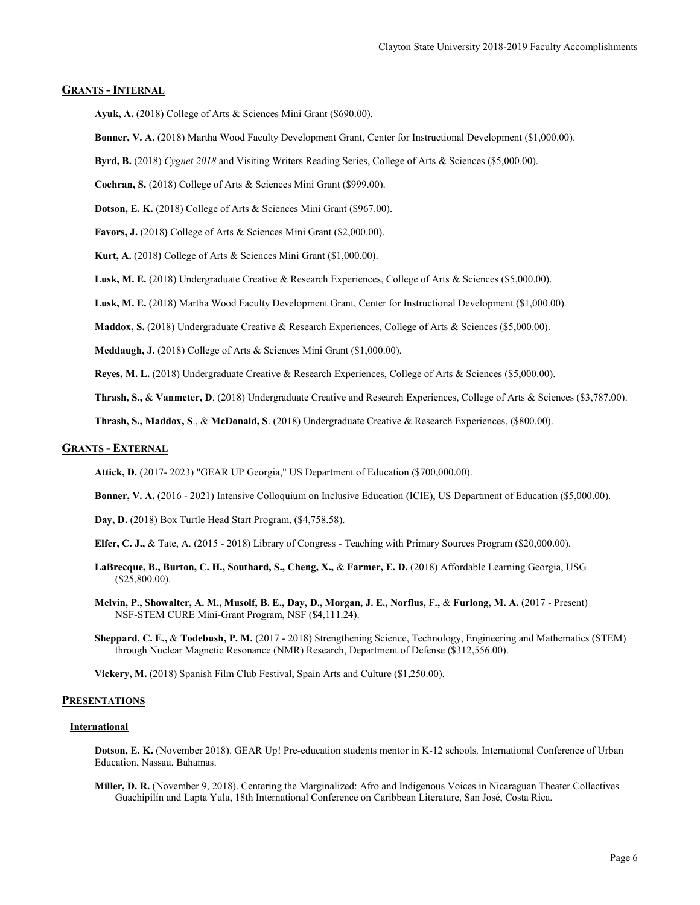# **GRANTS - INTERNAL**

**Ayuk, A.** (2018) College of Arts & Sciences Mini Grant (\$690.00).

**Bonner, V. A.** (2018) Martha Wood Faculty Development Grant, Center for Instructional Development (\$1,000.00).

**Byrd, B.** (2018) *Cygnet 2018* and Visiting Writers Reading Series, College of Arts & Sciences (\$5,000.00).

**Cochran, S.** (2018) College of Arts & Sciences Mini Grant (\$999.00).

**Dotson, E. K.** (2018) College of Arts & Sciences Mini Grant (\$967.00).

**Favors, J.** (2018**)** College of Arts & Sciences Mini Grant (\$2,000.00).

**Kurt, A.** (2018**)** College of Arts & Sciences Mini Grant (\$1,000.00).

**Lusk, M. E.** (2018) Undergraduate Creative & Research Experiences, College of Arts & Sciences (\$5,000.00).

**Lusk, M. E.** (2018) Martha Wood Faculty Development Grant, Center for Instructional Development (\$1,000.00).

**Maddox, S.** (2018) Undergraduate Creative & Research Experiences, College of Arts & Sciences (\$5,000.00).

**Meddaugh, J.** (2018) College of Arts & Sciences Mini Grant (\$1,000.00).

**Reyes, M. L.** (2018) Undergraduate Creative & Research Experiences, College of Arts & Sciences (\$5,000.00).

**Thrash, S.,** & **Vanmeter, D**. (2018) Undergraduate Creative and Research Experiences, College of Arts & Sciences (\$3,787.00).

**Thrash, S., Maddox, S**., & **McDonald, S**. (2018) Undergraduate Creative & Research Experiences, (\$800.00).

## **GRANTS - EXTERNAL**

**Attick, D.** (2017- 2023) "GEAR UP Georgia," US Department of Education (\$700,000.00).

**Bonner, V. A.** (2016 - 2021) Intensive Colloquium on Inclusive Education (ICIE), US Department of Education (\$5,000.00).

**Day, D.** (2018) Box Turtle Head Start Program, (\$4,758.58).

**Elfer, C. J.,** & Tate, A. (2015 - 2018) Library of Congress - Teaching with Primary Sources Program (\$20,000.00).

- **LaBrecque, B., Burton, C. H., Southard, S., Cheng, X.,** & **Farmer, E. D.** (2018) Affordable Learning Georgia, USG (\$25,800.00).
- **Melvin, P., Showalter, A. M., Musolf, B. E., Day, D., Morgan, J. E., Norflus, F.,** & **Furlong, M. A.** (2017 Present) NSF-STEM CURE Mini-Grant Program, NSF (\$4,111.24).
- **Sheppard, C. E.,** & **Todebush, P. M.** (2017 2018) Strengthening Science, Technology, Engineering and Mathematics (STEM) through Nuclear Magnetic Resonance (NMR) Research, Department of Defense (\$312,556.00).

**Vickery, M.** (2018) Spanish Film Club Festival, Spain Arts and Culture (\$1,250.00).

## **PRESENTATIONS**

#### **International**

**Dotson, E. K.** (November 2018). GEAR Up! Pre-education students mentor in K-12 schools*,* International Conference of Urban Education, Nassau, Bahamas.

**Miller, D. R.** (November 9, 2018). Centering the Marginalized: Afro and Indigenous Voices in Nicaraguan Theater Collectives Guachipilín and Lapta Yula, 18th International Conference on Caribbean Literature, San José, Costa Rica.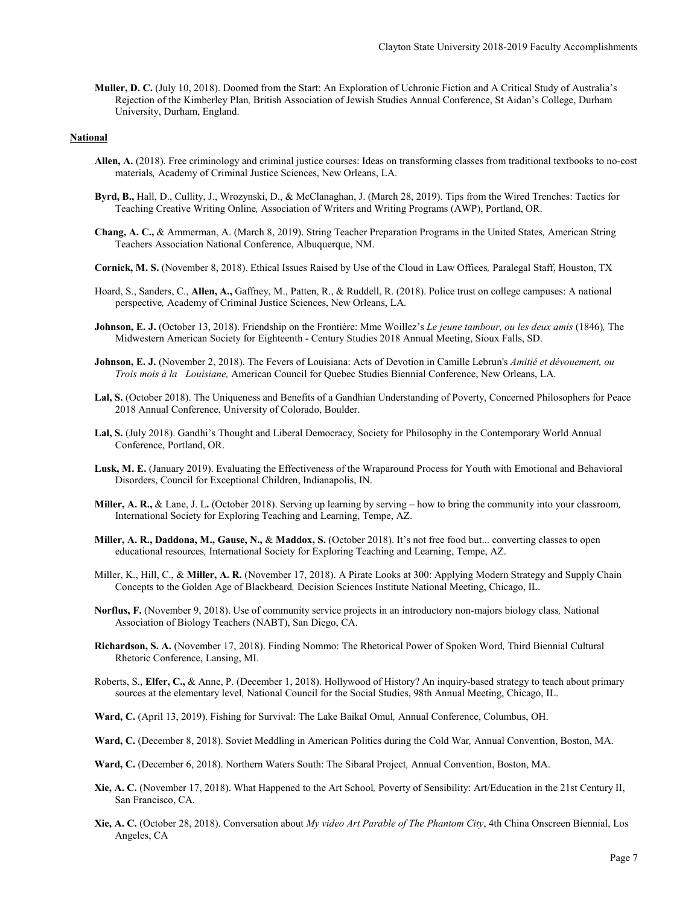**Muller, D. C.** (July 10, 2018). Doomed from the Start: An Exploration of Uchronic Fiction and A Critical Study of Australia's Rejection of the Kimberley Plan*,* British Association of Jewish Studies Annual Conference, St Aidan's College, Durham University, Durham, England.

#### **National**

- **Allen, A.** (2018). Free criminology and criminal justice courses: Ideas on transforming classes from traditional textbooks to no-cost materials*,* Academy of Criminal Justice Sciences, New Orleans, LA.
- **Byrd, B.,** Hall, D., Cullity, J., Wrozynski, D., & McClanaghan, J. (March 28, 2019). Tips from the Wired Trenches: Tactics for Teaching Creative Writing Online*,* Association of Writers and Writing Programs (AWP), Portland, OR.
- **Chang, A. C.,** & Ammerman, A. (March 8, 2019). String Teacher Preparation Programs in the United States*,* American String Teachers Association National Conference, Albuquerque, NM.
- **Cornick, M. S.** (November 8, 2018). Ethical Issues Raised by Use of the Cloud in Law Offices*,* Paralegal Staff, Houston, TX
- Hoard, S., Sanders, C., **Allen, A.,** Gaffney, M., Patten, R., & Ruddell, R. (2018). Police trust on college campuses: A national perspective*,* Academy of Criminal Justice Sciences, New Orleans, LA.
- **Johnson, E. J.** (October 13, 2018). Friendship on the Frontière: Mme Woillez's *Le jeune tambour, ou les deux amis* (1846)*,* The Midwestern American Society for Eighteenth - Century Studies 2018 Annual Meeting, Sioux Falls, SD.
- **Johnson, E. J.** (November 2, 2018). The Fevers of Louisiana: Acts of Devotion in Camille Lebrun's *Amitié et dévouement, ou Trois mois à la Louisiane,* American Council for Quebec Studies Biennial Conference, New Orleans, LA.
- **Lal, S.** (October 2018). The Uniqueness and Benefits of a Gandhian Understanding of Poverty, Concerned Philosophers for Peace 2018 Annual Conference, University of Colorado, Boulder.
- **Lal, S.** (July 2018). Gandhi's Thought and Liberal Democracy*,* Society for Philosophy in the Contemporary World Annual Conference, Portland, OR.
- **Lusk, M. E.** (January 2019). Evaluating the Effectiveness of the Wraparound Process for Youth with Emotional and Behavioral Disorders, Council for Exceptional Children, Indianapolis, IN.
- **Miller, A. R.,** & Lane, J. L**.** (October 2018). Serving up learning by serving how to bring the community into your classroom*,* International Society for Exploring Teaching and Learning, Tempe, AZ.
- **Miller, A. R., Daddona, M., Gause, N.,** & **Maddox, S.** (October 2018). It's not free food but... converting classes to open educational resources*,* International Society for Exploring Teaching and Learning, Tempe, AZ.
- Miller, K., Hill, C., & **Miller, A. R.** (November 17, 2018). A Pirate Looks at 300: Applying Modern Strategy and Supply Chain Concepts to the Golden Age of Blackbeard*,* Decision Sciences Institute National Meeting, Chicago, IL.
- **Norflus, F.** (November 9, 2018). Use of community service projects in an introductory non-majors biology class*,* National Association of Biology Teachers (NABT), San Diego, CA.
- **Richardson, S. A.** (November 17, 2018). Finding Nommo: The Rhetorical Power of Spoken Word*,* Third Biennial Cultural Rhetoric Conference, Lansing, MI.
- Roberts, S., **Elfer, C.,** & Anne, P. (December 1, 2018). Hollywood of History? An inquiry-based strategy to teach about primary sources at the elementary level*,* National Council for the Social Studies, 98th Annual Meeting, Chicago, IL.
- **Ward, C.** (April 13, 2019). Fishing for Survival: The Lake Baikal Omul*,* Annual Conference, Columbus, OH.
- **Ward, C.** (December 8, 2018). Soviet Meddling in American Politics during the Cold War*,* Annual Convention, Boston, MA.
- **Ward, C.** (December 6, 2018). Northern Waters South: The Sibaral Project*,* Annual Convention, Boston, MA.
- **Xie, A. C.** (November 17, 2018). What Happened to the Art School*,* Poverty of Sensibility: Art/Education in the 21st Century II, San Francisco, CA.
- **Xie, A. C.** (October 28, 2018). Conversation about *My video Art Parable of The Phantom City*, 4th China Onscreen Biennial, Los Angeles, CA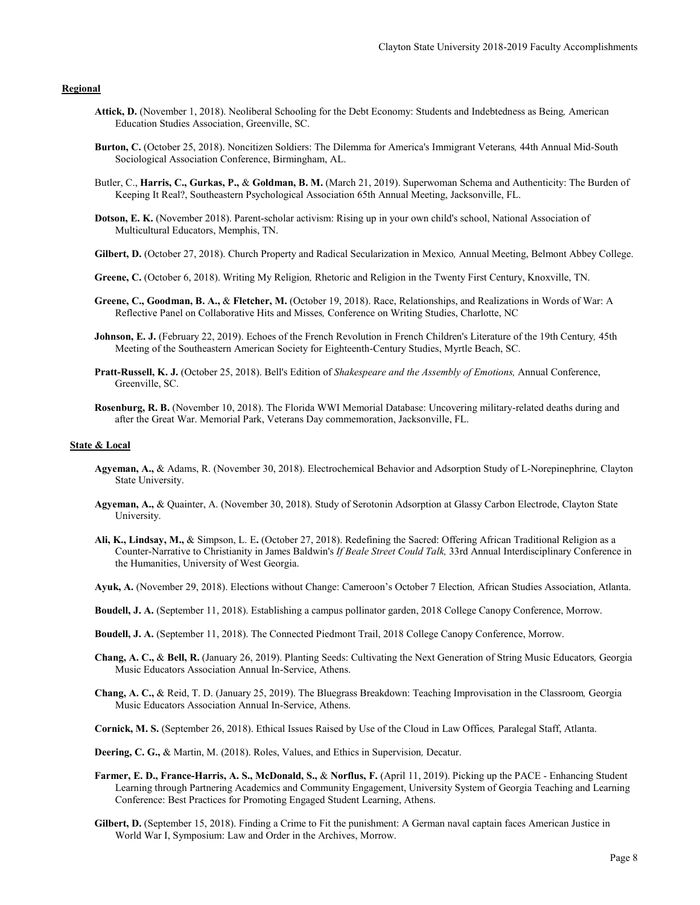# **Regional**

- **Attick, D.** (November 1, 2018). Neoliberal Schooling for the Debt Economy: Students and Indebtedness as Being*,* American Education Studies Association, Greenville, SC.
- **Burton, C.** (October 25, 2018). Noncitizen Soldiers: The Dilemma for America's Immigrant Veterans*,* 44th Annual Mid-South Sociological Association Conference, Birmingham, AL.
- Butler, C., **Harris, C., Gurkas, P.,** & **Goldman, B. M.** (March 21, 2019). Superwoman Schema and Authenticity: The Burden of Keeping It Real?, Southeastern Psychological Association 65th Annual Meeting, Jacksonville, FL.
- **Dotson, E. K.** (November 2018). Parent-scholar activism: Rising up in your own child's school, National Association of Multicultural Educators, Memphis, TN.
- **Gilbert, D.** (October 27, 2018). Church Property and Radical Secularization in Mexico*,* Annual Meeting, Belmont Abbey College.
- **Greene, C.** (October 6, 2018). Writing My Religion*,* Rhetoric and Religion in the Twenty First Century, Knoxville, TN.
- **Greene, C., Goodman, B. A.,** & **Fletcher, M.** (October 19, 2018). Race, Relationships, and Realizations in Words of War: A Reflective Panel on Collaborative Hits and Misses*,* Conference on Writing Studies, Charlotte, NC
- **Johnson, E. J.** (February 22, 2019). Echoes of the French Revolution in French Children's Literature of the 19th Century*,* 45th Meeting of the Southeastern American Society for Eighteenth-Century Studies, Myrtle Beach, SC.
- **Pratt-Russell, K. J.** (October 25, 2018). Bell's Edition of *Shakespeare and the Assembly of Emotions,* Annual Conference, Greenville, SC.
- **Rosenburg, R. B.** (November 10, 2018). The Florida WWI Memorial Database: Uncovering military-related deaths during and after the Great War. Memorial Park, Veterans Day commemoration, Jacksonville, FL.

#### **State & Local**

- **Agyeman, A.,** & Adams, R. (November 30, 2018). Electrochemical Behavior and Adsorption Study of L-Norepinephrine*,* Clayton State University.
- **Agyeman, A.,** & Quainter, A. (November 30, 2018). Study of Serotonin Adsorption at Glassy Carbon Electrode, Clayton State University.
- **Ali, K., Lindsay, M.,** & Simpson, L. E**.** (October 27, 2018). Redefining the Sacred: Offering African Traditional Religion as a Counter-Narrative to Christianity in James Baldwin's *If Beale Street Could Talk,* 33rd Annual Interdisciplinary Conference in the Humanities, University of West Georgia.
- **Ayuk, A.** (November 29, 2018). Elections without Change: Cameroon's October 7 Election*,* African Studies Association, Atlanta.
- **Boudell, J. A.** (September 11, 2018). Establishing a campus pollinator garden, 2018 College Canopy Conference, Morrow.
- **Boudell, J. A.** (September 11, 2018). The Connected Piedmont Trail, 2018 College Canopy Conference, Morrow.
- **Chang, A. C.,** & **Bell, R.** (January 26, 2019). Planting Seeds: Cultivating the Next Generation of String Music Educators*,* Georgia Music Educators Association Annual In-Service, Athens.
- **Chang, A. C.,** & Reid, T. D. (January 25, 2019). The Bluegrass Breakdown: Teaching Improvisation in the Classroom*,* Georgia Music Educators Association Annual In-Service, Athens.
- **Cornick, M. S.** (September 26, 2018). Ethical Issues Raised by Use of the Cloud in Law Offices*,* Paralegal Staff, Atlanta.
- **Deering, C. G.,** & Martin, M. (2018). Roles, Values, and Ethics in Supervision*,* Decatur.
- **Farmer, E. D., France-Harris, A. S., McDonald, S.,** & **Norflus, F.** (April 11, 2019). Picking up the PACE Enhancing Student Learning through Partnering Academics and Community Engagement, University System of Georgia Teaching and Learning Conference: Best Practices for Promoting Engaged Student Learning, Athens.
- **Gilbert, D.** (September 15, 2018). Finding a Crime to Fit the punishment: A German naval captain faces American Justice in World War I, Symposium: Law and Order in the Archives, Morrow.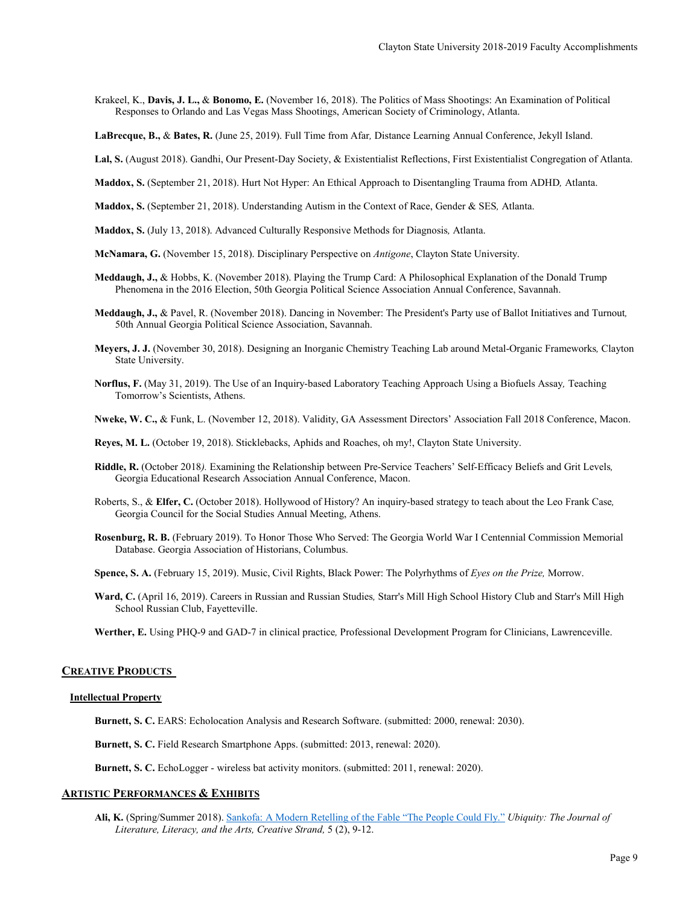- Krakeel, K., **Davis, J. L.,** & **Bonomo, E.** (November 16, 2018). The Politics of Mass Shootings: An Examination of Political Responses to Orlando and Las Vegas Mass Shootings, American Society of Criminology, Atlanta.
- **LaBrecque, B.,** & **Bates, R.** (June 25, 2019). Full Time from Afar*,* Distance Learning Annual Conference, Jekyll Island.
- **Lal, S.** (August 2018). Gandhi, Our Present-Day Society, & Existentialist Reflections, First Existentialist Congregation of Atlanta.
- **Maddox, S.** (September 21, 2018). Hurt Not Hyper: An Ethical Approach to Disentangling Trauma from ADHD*,* Atlanta.
- **Maddox, S.** (September 21, 2018). Understanding Autism in the Context of Race, Gender & SES*,* Atlanta.
- **Maddox, S.** (July 13, 2018). Advanced Culturally Responsive Methods for Diagnosis*,* Atlanta.
- **McNamara, G.** (November 15, 2018). Disciplinary Perspective on *Antigone*, Clayton State University.
- **Meddaugh, J.,** & Hobbs, K. (November 2018). Playing the Trump Card: A Philosophical Explanation of the Donald Trump Phenomena in the 2016 Election, 50th Georgia Political Science Association Annual Conference, Savannah.
- **Meddaugh, J.,** & Pavel, R. (November 2018). Dancing in November: The President's Party use of Ballot Initiatives and Turnout*,* 50th Annual Georgia Political Science Association, Savannah.
- **Meyers, J. J.** (November 30, 2018). Designing an Inorganic Chemistry Teaching Lab around Metal-Organic Frameworks*,* Clayton State University.
- **Norflus, F.** (May 31, 2019). The Use of an Inquiry-based Laboratory Teaching Approach Using a Biofuels Assay*,* Teaching Tomorrow's Scientists, Athens.

**Nweke, W. C.,** & Funk, L. (November 12, 2018). Validity, GA Assessment Directors' Association Fall 2018 Conference, Macon.

**Reyes, M. L.** (October 19, 2018). Sticklebacks, Aphids and Roaches, oh my!, Clayton State University.

- **Riddle, R.** (October 2018*).* Examining the Relationship between Pre-Service Teachers' Self-Efficacy Beliefs and Grit Levels*,* Georgia Educational Research Association Annual Conference, Macon.
- Roberts, S., & **Elfer, C.** (October 2018). Hollywood of History? An inquiry-based strategy to teach about the Leo Frank Case*,* Georgia Council for the Social Studies Annual Meeting, Athens.
- **Rosenburg, R. B.** (February 2019). To Honor Those Who Served: The Georgia World War I Centennial Commission Memorial Database. Georgia Association of Historians, Columbus.
- **Spence, S. A.** (February 15, 2019). Music, Civil Rights, Black Power: The Polyrhythms of *Eyes on the Prize,* Morrow.
- **Ward, C.** (April 16, 2019). Careers in Russian and Russian Studies*,* Starr's Mill High School History Club and Starr's Mill High School Russian Club, Fayetteville.
- **Werther, E.** Using PHQ-9 and GAD-7 in clinical practice*,* Professional Development Program for Clinicians, Lawrenceville.

# **CREATIVE PRODUCTS**

#### **Intellectual Property**

**Burnett, S. C.** EARS: Echolocation Analysis and Research Software. (submitted: 2000, renewal: 2030).

**Burnett, S. C.** Field Research Smartphone Apps. (submitted: 2013, renewal: 2020).

**Burnett, S. C.** EchoLogger - wireless bat activity monitors. (submitted: 2011, renewal: 2020).

# **ARTISTIC PERFORMANCES & EXHIBITS**

**Ali, K.** (Spring/Summer 2018). [Sankofa: A Modern Retelling of the Fable "The People Could Fly."](https://www.google.com/url?sa=t&rct=j&q=&esrc=s&source=web&cd=1&ved=2ahUKEwjz3P7EuKXjAhUVQ80KHfK-BfwQFjAAegQIARAC&url=http%3A%2F%2Fed-ubiquity.gsu.edu%2Fwordpress%2Fwp-content%2Fuploads%2F2018%2F10%2FAli_5-1.pdf&usg=AOvVaw2VNYO_7NK1G21YdcK8Cb7v) *Ubiquity: The Journal of Literature, Literacy, and the Arts, Creative Strand,* 5 (2), 9-12.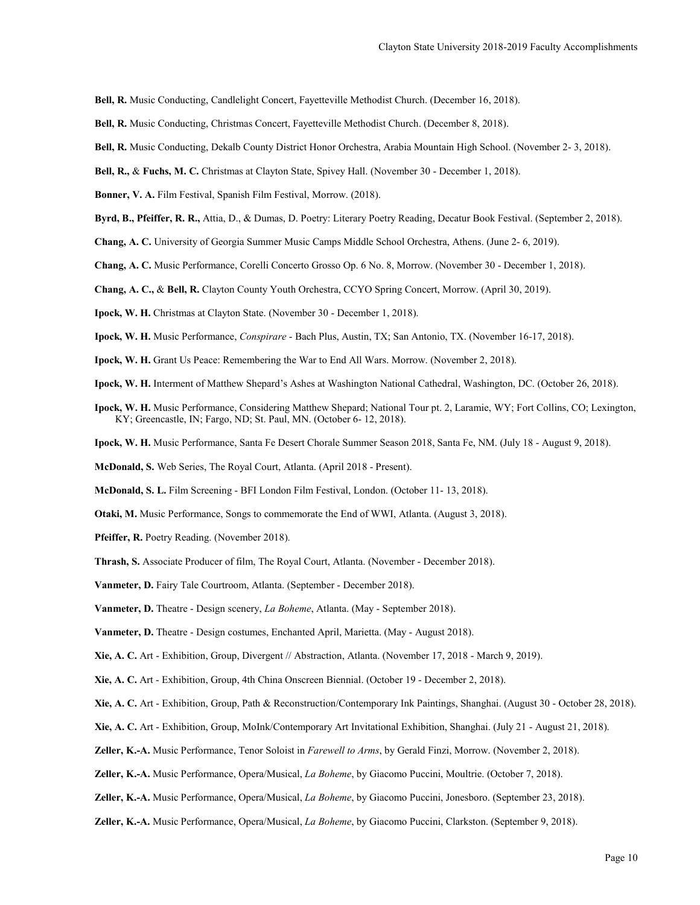**Bell, R.** Music Conducting, Candlelight Concert, Fayetteville Methodist Church. (December 16, 2018).

- **Bell, R.** Music Conducting, Christmas Concert, Fayetteville Methodist Church. (December 8, 2018).
- **Bell, R.** Music Conducting, Dekalb County District Honor Orchestra, Arabia Mountain High School. (November 2- 3, 2018).

**Bell, R.,** & **Fuchs, M. C.** Christmas at Clayton State, Spivey Hall. (November 30 - December 1, 2018).

**Bonner, V. A.** Film Festival, Spanish Film Festival, Morrow. (2018).

- **Byrd, B., Pfeiffer, R. R.,** Attia, D., & Dumas, D. Poetry: Literary Poetry Reading, Decatur Book Festival. (September 2, 2018).
- **Chang, A. C.** University of Georgia Summer Music Camps Middle School Orchestra, Athens. (June 2- 6, 2019).
- **Chang, A. C.** Music Performance, Corelli Concerto Grosso Op. 6 No. 8, Morrow. (November 30 December 1, 2018).
- **Chang, A. C.,** & **Bell, R.** Clayton County Youth Orchestra, CCYO Spring Concert, Morrow. (April 30, 2019).
- **Ipock, W. H.** Christmas at Clayton State. (November 30 December 1, 2018).
- **Ipock, W. H.** Music Performance, *Conspirare* Bach Plus, Austin, TX; San Antonio, TX. (November 16-17, 2018).
- **Ipock, W. H.** Grant Us Peace: Remembering the War to End All Wars. Morrow. (November 2, 2018).
- **Ipock, W. H.** Interment of Matthew Shepard's Ashes at Washington National Cathedral, Washington, DC. (October 26, 2018).
- **Ipock, W. H.** Music Performance, Considering Matthew Shepard; National Tour pt. 2, Laramie, WY; Fort Collins, CO; Lexington, KY; Greencastle, IN; Fargo, ND; St. Paul, MN. (October 6- 12, 2018).
- **Ipock, W. H.** Music Performance, Santa Fe Desert Chorale Summer Season 2018, Santa Fe, NM. (July 18 August 9, 2018).
- **McDonald, S.** Web Series, The Royal Court, Atlanta. (April 2018 Present).
- **McDonald, S. L.** Film Screening BFI London Film Festival, London. (October 11- 13, 2018).
- **Otaki, M.** Music Performance, Songs to commemorate the End of WWI, Atlanta. (August 3, 2018).
- **Pfeiffer, R.** Poetry Reading. (November 2018).
- **Thrash, S.** Associate Producer of film, The Royal Court, Atlanta. (November December 2018).
- **Vanmeter, D.** Fairy Tale Courtroom, Atlanta. (September December 2018).
- **Vanmeter, D.** Theatre Design scenery, *La Boheme*, Atlanta. (May September 2018).
- **Vanmeter, D.** Theatre Design costumes, Enchanted April, Marietta. (May August 2018).
- **Xie, A. C.** Art Exhibition, Group, Divergent // Abstraction, Atlanta. (November 17, 2018 March 9, 2019).
- **Xie, A. C.** Art Exhibition, Group, 4th China Onscreen Biennial. (October 19 December 2, 2018).
- **Xie, A. C.** Art Exhibition, Group, Path & Reconstruction/Contemporary Ink Paintings, Shanghai. (August 30 October 28, 2018).
- **Xie, A. C.** Art Exhibition, Group, MoInk/Contemporary Art Invitational Exhibition, Shanghai. (July 21 August 21, 2018).
- **Zeller, K.-A.** Music Performance, Tenor Soloist in *Farewell to Arms*, by Gerald Finzi, Morrow. (November 2, 2018).
- **Zeller, K.-A.** Music Performance, Opera/Musical, *La Boheme*, by Giacomo Puccini, Moultrie. (October 7, 2018).
- **Zeller, K.-A.** Music Performance, Opera/Musical, *La Boheme*, by Giacomo Puccini, Jonesboro. (September 23, 2018).
- **Zeller, K.-A.** Music Performance, Opera/Musical, *La Boheme*, by Giacomo Puccini, Clarkston. (September 9, 2018).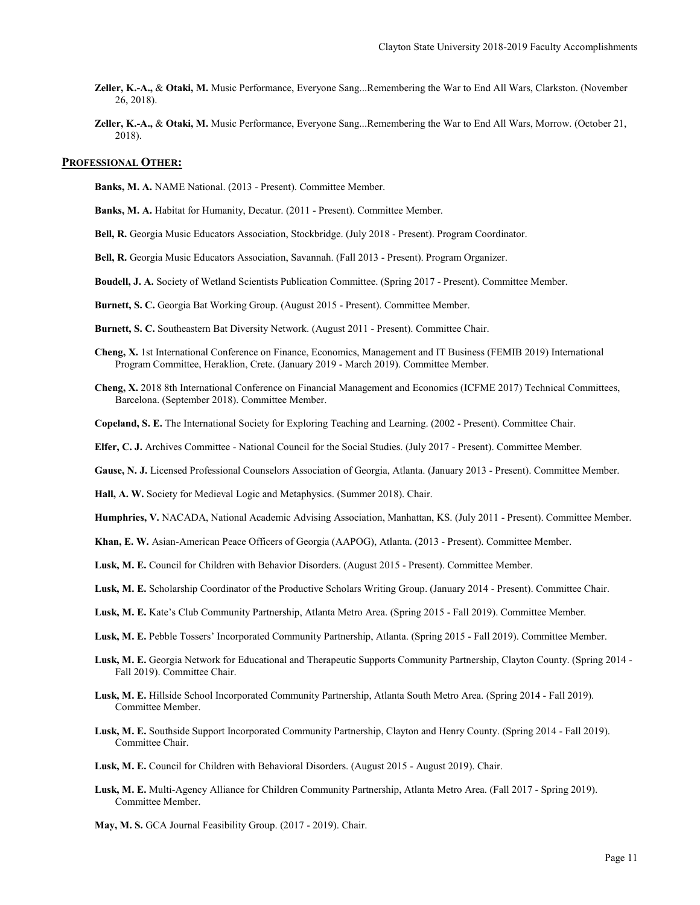- **Zeller, K.-A.,** & **Otaki, M.** Music Performance, Everyone Sang...Remembering the War to End All Wars, Clarkston. (November 26, 2018).
- **Zeller, K.-A.,** & **Otaki, M.** Music Performance, Everyone Sang...Remembering the War to End All Wars, Morrow. (October 21, 2018).

## **PROFESSIONAL OTHER:**

**Banks, M. A.** NAME National. (2013 - Present). Committee Member.

- **Banks, M. A.** Habitat for Humanity, Decatur. (2011 Present). Committee Member.
- **Bell, R.** Georgia Music Educators Association, Stockbridge. (July 2018 Present). Program Coordinator.
- **Bell, R.** Georgia Music Educators Association, Savannah. (Fall 2013 Present). Program Organizer.
- **Boudell, J. A.** Society of Wetland Scientists Publication Committee. (Spring 2017 Present). Committee Member.
- **Burnett, S. C.** Georgia Bat Working Group. (August 2015 Present). Committee Member.
- **Burnett, S. C.** Southeastern Bat Diversity Network. (August 2011 Present). Committee Chair.
- **Cheng, X.** 1st International Conference on Finance, Economics, Management and IT Business (FEMIB 2019) International Program Committee, Heraklion, Crete. (January 2019 - March 2019). Committee Member.
- **Cheng, X.** 2018 8th International Conference on Financial Management and Economics (ICFME 2017) Technical Committees, Barcelona. (September 2018). Committee Member.
- **Copeland, S. E.** The International Society for Exploring Teaching and Learning. (2002 Present). Committee Chair.
- **Elfer, C. J.** Archives Committee National Council for the Social Studies. (July 2017 Present). Committee Member.
- **Gause, N. J.** Licensed Professional Counselors Association of Georgia, Atlanta. (January 2013 Present). Committee Member.

**Hall, A. W.** Society for Medieval Logic and Metaphysics. (Summer 2018). Chair.

- **Humphries, V.** NACADA, National Academic Advising Association, Manhattan, KS. (July 2011 Present). Committee Member.
- **Khan, E. W.** Asian-American Peace Officers of Georgia (AAPOG), Atlanta. (2013 Present). Committee Member.
- **Lusk, M. E.** Council for Children with Behavior Disorders. (August 2015 Present). Committee Member.
- Lusk, M. E. Scholarship Coordinator of the Productive Scholars Writing Group. (January 2014 Present). Committee Chair.
- **Lusk, M. E.** Kate's Club Community Partnership, Atlanta Metro Area. (Spring 2015 Fall 2019). Committee Member.
- **Lusk, M. E.** Pebble Tossers' Incorporated Community Partnership, Atlanta. (Spring 2015 Fall 2019). Committee Member.
- **Lusk, M. E.** Georgia Network for Educational and Therapeutic Supports Community Partnership, Clayton County. (Spring 2014 Fall 2019). Committee Chair.
- **Lusk, M. E.** Hillside School Incorporated Community Partnership, Atlanta South Metro Area. (Spring 2014 Fall 2019). Committee Member.
- **Lusk, M. E.** Southside Support Incorporated Community Partnership, Clayton and Henry County. (Spring 2014 Fall 2019). Committee Chair.
- **Lusk, M. E.** Council for Children with Behavioral Disorders. (August 2015 August 2019). Chair.
- **Lusk, M. E.** Multi-Agency Alliance for Children Community Partnership, Atlanta Metro Area. (Fall 2017 Spring 2019). Committee Member.

**May, M. S.** GCA Journal Feasibility Group. (2017 - 2019). Chair.